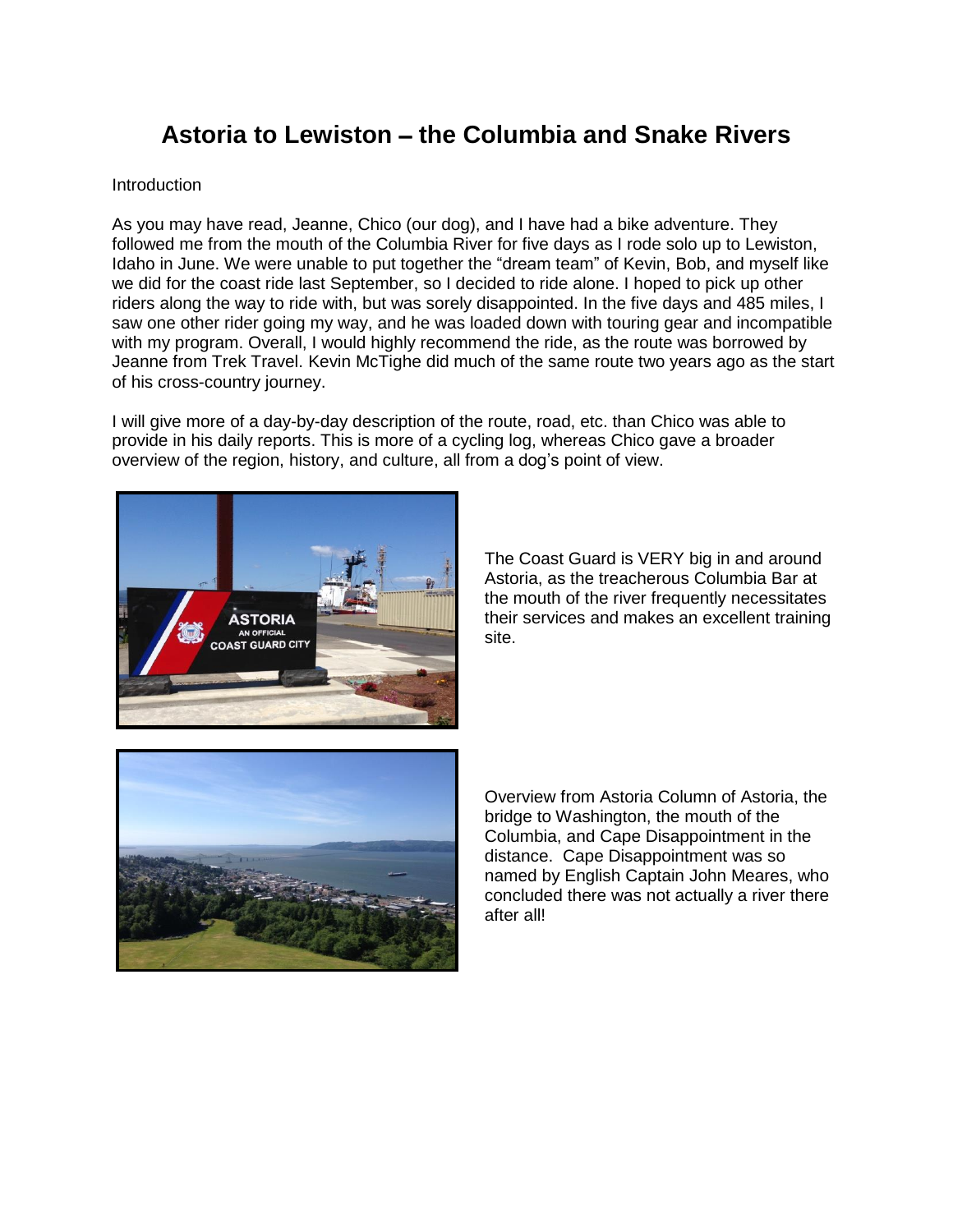# **Astoria to Lewiston** – **the Columbia and Snake Rivers**

#### **Introduction**

As you may have read, Jeanne, Chico (our dog), and I have had a bike adventure. They followed me from the mouth of the Columbia River for five days as I rode solo up to Lewiston, Idaho in June. We were unable to put together the "dream team" of Kevin, Bob, and myself like we did for the coast ride last September, so I decided to ride alone. I hoped to pick up other riders along the way to ride with, but was sorely disappointed. In the five days and 485 miles, I saw one other rider going my way, and he was loaded down with touring gear and incompatible with my program. Overall, I would highly recommend the ride, as the route was borrowed by Jeanne from Trek Travel. Kevin McTighe did much of the same route two years ago as the start of his cross-country journey.

I will give more of a day-by-day description of the route, road, etc. than Chico was able to provide in his daily reports. This is more of a cycling log, whereas Chico gave a broader overview of the region, history, and culture, all from a dog's point of view.



The Coast Guard is VERY big in and around Astoria, as the treacherous Columbia Bar at the mouth of the river frequently necessitates their services and makes an excellent training site.



Overview from Astoria Column of Astoria, the bridge to Washington, the mouth of the Columbia, and Cape Disappointment in the distance. Cape Disappointment was so named by English Captain John Meares, who concluded there was not actually a river there after all!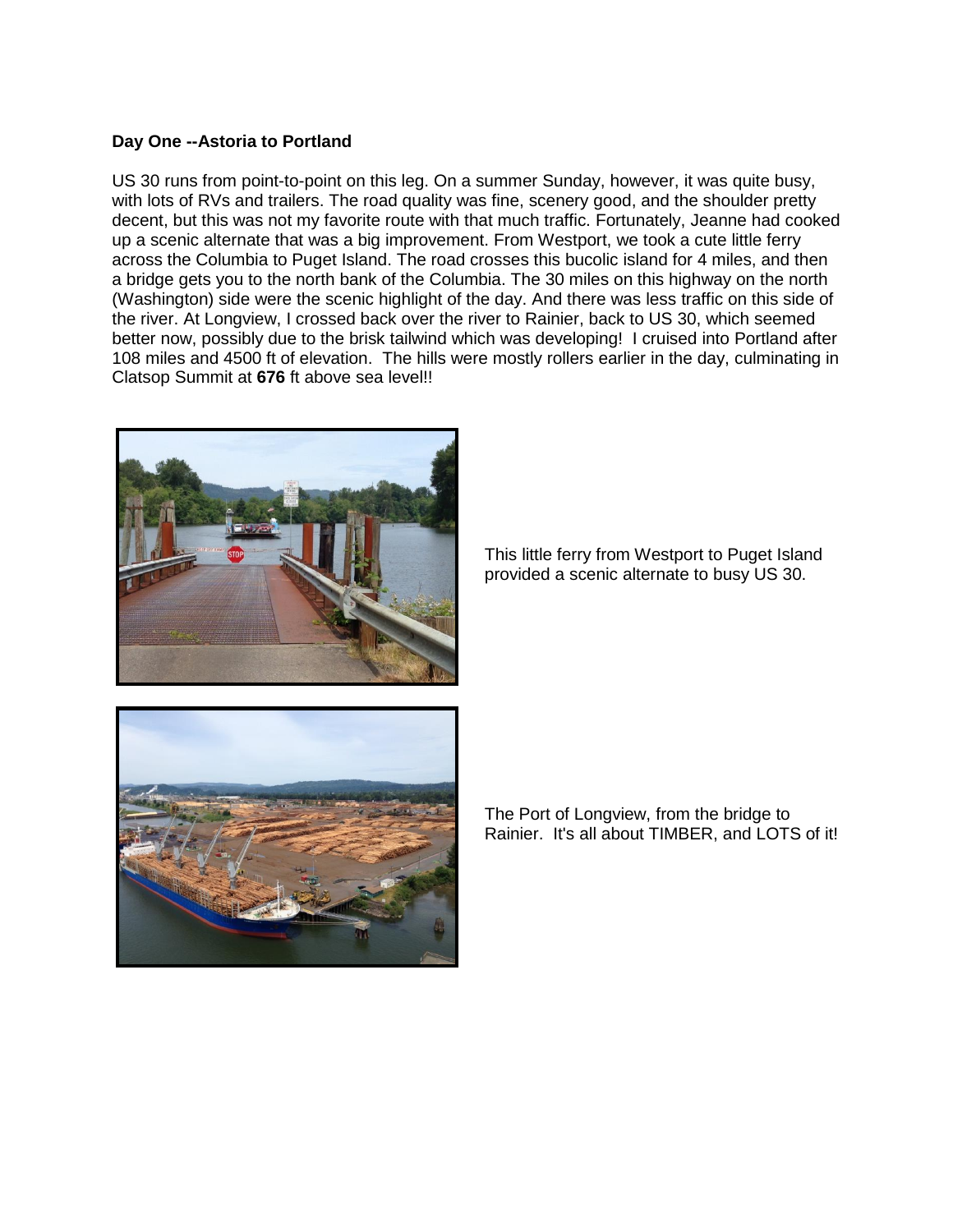### **Day One --Astoria to Portland**

US 30 runs from point-to-point on this leg. On a summer Sunday, however, it was quite busy, with lots of RVs and trailers. The road quality was fine, scenery good, and the shoulder pretty decent, but this was not my favorite route with that much traffic. Fortunately, Jeanne had cooked up a scenic alternate that was a big improvement. From Westport, we took a cute little ferry across the Columbia to Puget Island. The road crosses this bucolic island for 4 miles, and then a bridge gets you to the north bank of the Columbia. The 30 miles on this highway on the north (Washington) side were the scenic highlight of the day. And there was less traffic on this side of the river. At Longview, I crossed back over the river to Rainier, back to US 30, which seemed better now, possibly due to the brisk tailwind which was developing! I cruised into Portland after 108 miles and 4500 ft of elevation. The hills were mostly rollers earlier in the day, culminating in Clatsop Summit at **676** ft above sea level!!



This little ferry from Westport to Puget Island provided a scenic alternate to busy US 30.



The Port of Longview, from the bridge to Rainier. It's all about TIMBER, and LOTS of it!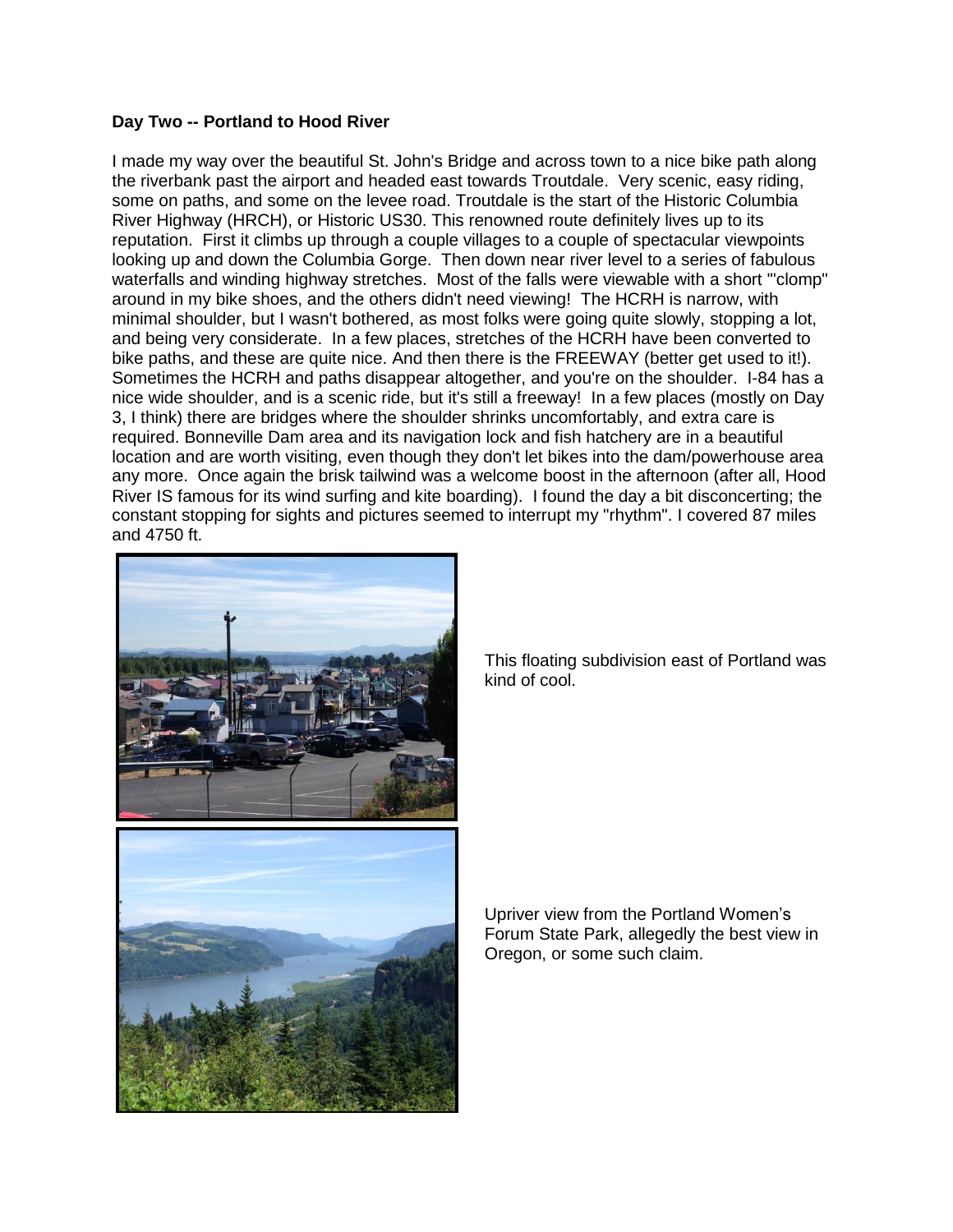# **Day Two -- Portland to Hood River**

I made my way over the beautiful St. John's Bridge and across town to a nice bike path along the riverbank past the airport and headed east towards Troutdale. Very scenic, easy riding, some on paths, and some on the levee road. Troutdale is the start of the Historic Columbia River Highway (HRCH), or Historic US30. This renowned route definitely lives up to its reputation. First it climbs up through a couple villages to a couple of spectacular viewpoints looking up and down the Columbia Gorge. Then down near river level to a series of fabulous waterfalls and winding highway stretches. Most of the falls were viewable with a short '"clomp" around in my bike shoes, and the others didn't need viewing! The HCRH is narrow, with minimal shoulder, but I wasn't bothered, as most folks were going quite slowly, stopping a lot, and being very considerate. In a few places, stretches of the HCRH have been converted to bike paths, and these are quite nice. And then there is the FREEWAY (better get used to it!). Sometimes the HCRH and paths disappear altogether, and you're on the shoulder. I-84 has a nice wide shoulder, and is a scenic ride, but it's still a freeway! In a few places (mostly on Day 3, I think) there are bridges where the shoulder shrinks uncomfortably, and extra care is required. Bonneville Dam area and its navigation lock and fish hatchery are in a beautiful location and are worth visiting, even though they don't let bikes into the dam/powerhouse area any more. Once again the brisk tailwind was a welcome boost in the afternoon (after all, Hood River IS famous for its wind surfing and kite boarding). I found the day a bit disconcerting; the constant stopping for sights and pictures seemed to interrupt my "rhythm". I covered 87 miles and 4750 ft.



This floating subdivision east of Portland was kind of cool.



Upriver view from the Portland Women's Forum State Park, allegedly the best view in Oregon, or some such claim.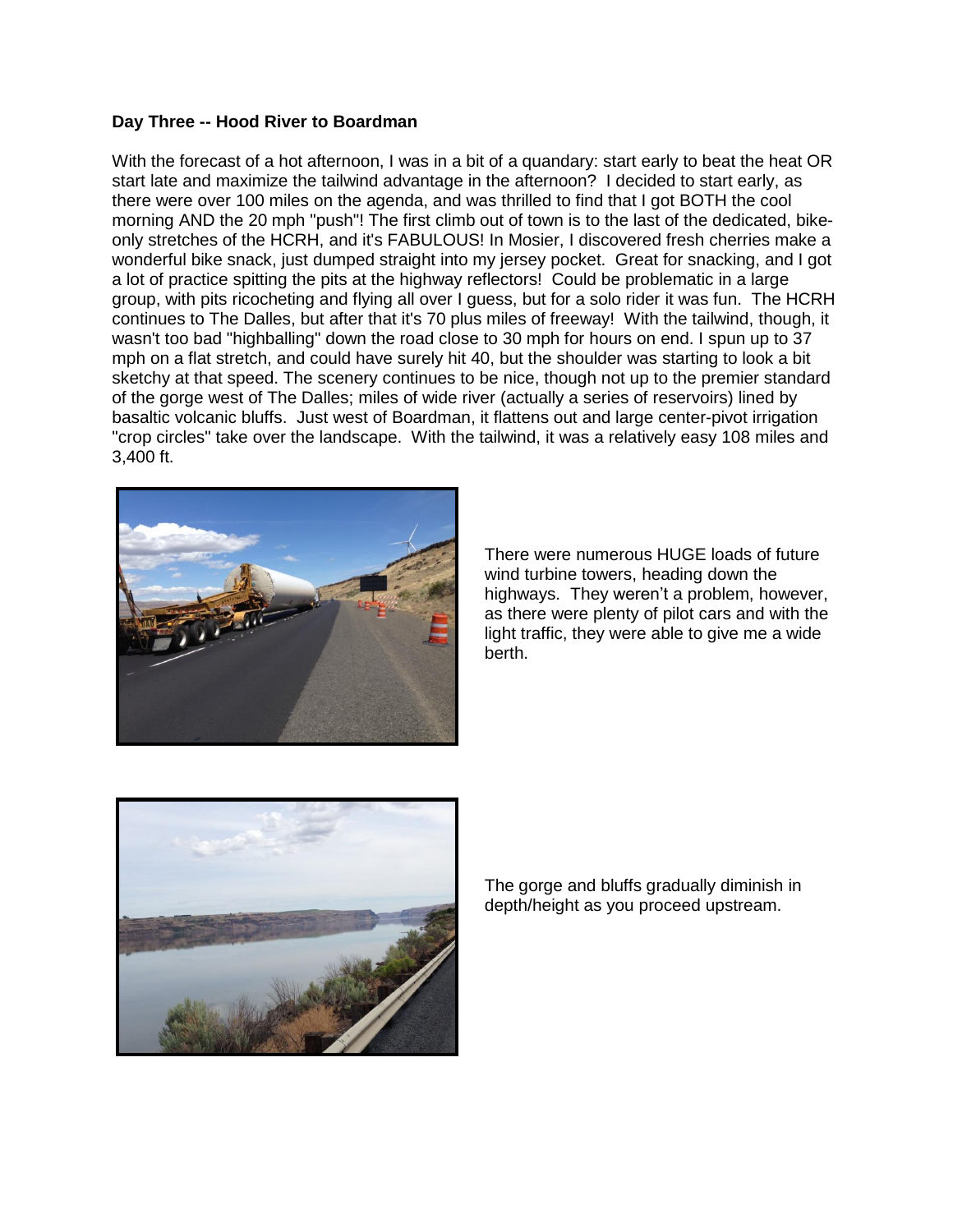# **Day Three -- Hood River to Boardman**

With the forecast of a hot afternoon, I was in a bit of a quandary: start early to beat the heat OR start late and maximize the tailwind advantage in the afternoon? I decided to start early, as there were over 100 miles on the agenda, and was thrilled to find that I got BOTH the cool morning AND the 20 mph "push"! The first climb out of town is to the last of the dedicated, bikeonly stretches of the HCRH, and it's FABULOUS! In Mosier, I discovered fresh cherries make a wonderful bike snack, just dumped straight into my jersey pocket. Great for snacking, and I got a lot of practice spitting the pits at the highway reflectors! Could be problematic in a large group, with pits ricocheting and flying all over I guess, but for a solo rider it was fun. The HCRH continues to The Dalles, but after that it's 70 plus miles of freeway! With the tailwind, though, it wasn't too bad "highballing" down the road close to 30 mph for hours on end. I spun up to 37 mph on a flat stretch, and could have surely hit 40, but the shoulder was starting to look a bit sketchy at that speed. The scenery continues to be nice, though not up to the premier standard of the gorge west of The Dalles; miles of wide river (actually a series of reservoirs) lined by basaltic volcanic bluffs. Just west of Boardman, it flattens out and large center-pivot irrigation "crop circles" take over the landscape. With the tailwind, it was a relatively easy 108 miles and 3,400 ft.



There were numerous HUGE loads of future wind turbine towers, heading down the highways. They weren't a problem, however, as there were plenty of pilot cars and with the light traffic, they were able to give me a wide berth.



The gorge and bluffs gradually diminish in depth/height as you proceed upstream.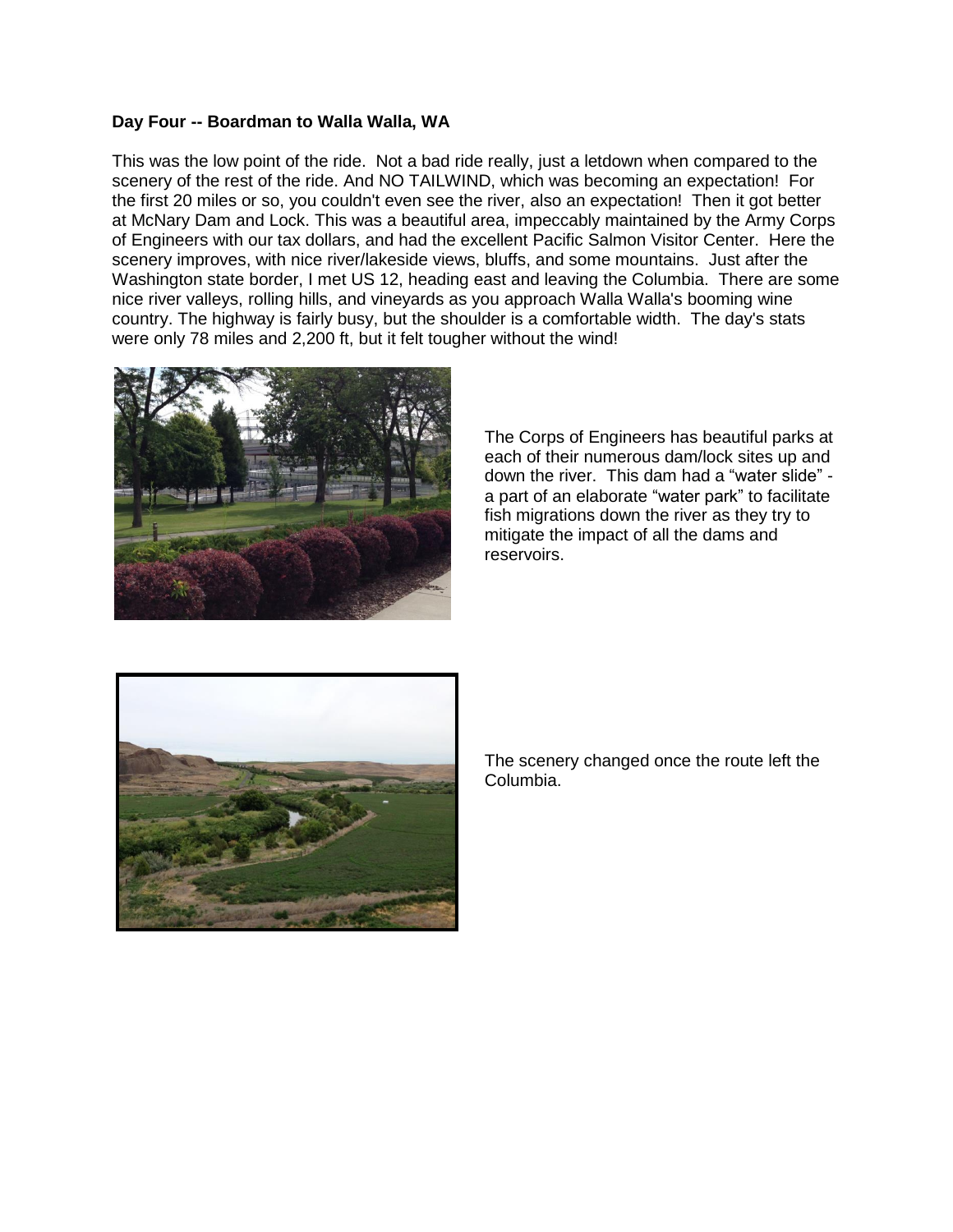#### **Day Four -- Boardman to Walla Walla, WA**

This was the low point of the ride. Not a bad ride really, just a letdown when compared to the scenery of the rest of the ride. And NO TAILWIND, which was becoming an expectation! For the first 20 miles or so, you couldn't even see the river, also an expectation! Then it got better at McNary Dam and Lock. This was a beautiful area, impeccably maintained by the Army Corps of Engineers with our tax dollars, and had the excellent Pacific Salmon Visitor Center. Here the scenery improves, with nice river/lakeside views, bluffs, and some mountains. Just after the Washington state border, I met US 12, heading east and leaving the Columbia. There are some nice river valleys, rolling hills, and vineyards as you approach Walla Walla's booming wine country. The highway is fairly busy, but the shoulder is a comfortable width. The day's stats were only 78 miles and 2,200 ft, but it felt tougher without the wind!



The Corps of Engineers has beautiful parks at each of their numerous dam/lock sites up and down the river. This dam had a "water slide" a part of an elaborate "water park" to facilitate fish migrations down the river as they try to mitigate the impact of all the dams and reservoirs.



The scenery changed once the route left the Columbia.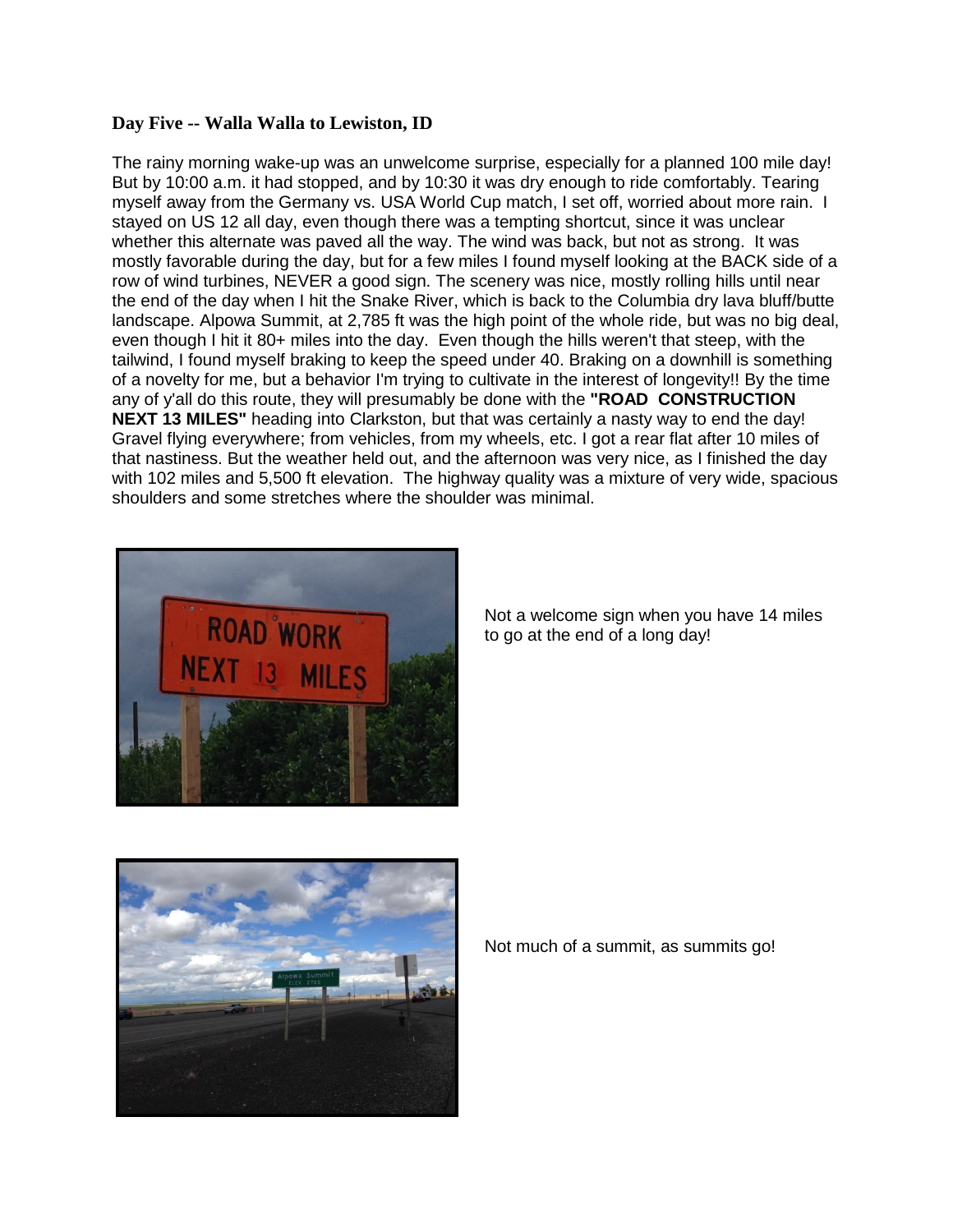## **Day Five -- Walla Walla to Lewiston, ID**

The rainy morning wake-up was an unwelcome surprise, especially for a planned 100 mile day! But by 10:00 a.m. it had stopped, and by 10:30 it was dry enough to ride comfortably. Tearing myself away from the Germany vs. USA World Cup match, I set off, worried about more rain. I stayed on US 12 all day, even though there was a tempting shortcut, since it was unclear whether this alternate was paved all the way. The wind was back, but not as strong. It was mostly favorable during the day, but for a few miles I found myself looking at the BACK side of a row of wind turbines, NEVER a good sign. The scenery was nice, mostly rolling hills until near the end of the day when I hit the Snake River, which is back to the Columbia dry lava bluff/butte landscape. Alpowa Summit, at 2,785 ft was the high point of the whole ride, but was no big deal, even though I hit it 80+ miles into the day. Even though the hills weren't that steep, with the tailwind, I found myself braking to keep the speed under 40. Braking on a downhill is something of a novelty for me, but a behavior I'm trying to cultivate in the interest of longevity!! By the time any of y'all do this route, they will presumably be done with the **"ROAD CONSTRUCTION NEXT 13 MILES"** heading into Clarkston, but that was certainly a nasty way to end the day! Gravel flying everywhere; from vehicles, from my wheels, etc. I got a rear flat after 10 miles of that nastiness. But the weather held out, and the afternoon was very nice, as I finished the day with 102 miles and 5,500 ft elevation. The highway quality was a mixture of very wide, spacious shoulders and some stretches where the shoulder was minimal.



Not a welcome sign when you have 14 miles to go at the end of a long day!



Not much of a summit, as summits go!